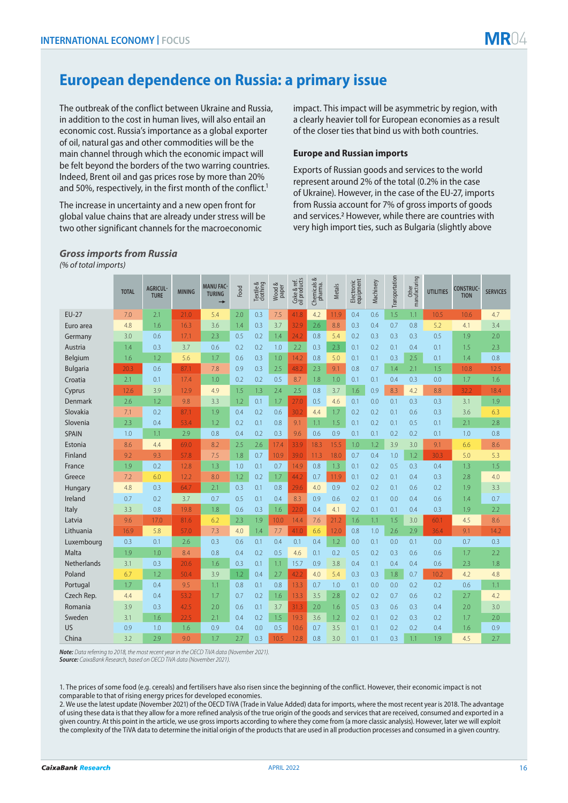# **European dependence on Russia: a primary issue**

The outbreak of the conflict between Ukraine and Russia, in addition to the cost in human lives, will also entail an economic cost. Russia's importance as a global exporter of oil, natural gas and other commodities will be the main channel through which the economic impact will be felt beyond the borders of the two warring countries. Indeed, Brent oil and gas prices rose by more than 20% and 50%, respectively, in the first month of the conflict.<sup>1</sup>

The increase in uncertainty and a new open front for global value chains that are already under stress will be two other significant channels for the macroeconomic

impact. This impact will be asymmetric by region, with a clearly heavier toll for European economies as a result of the closer ties that bind us with both countries.

## **Europe and Russian imports**

Exports of Russian goods and services to the world represent around 2% of the total (0.2% in the case of Ukraine). However, in the case of the EU-27, imports from Russia account for 7% of gross imports of goods and services.2 However, while there are countries with very high import ties, such as Bulgaria (slightly above

|                 | <b>TOTAL</b> | <b>AGRICUL-</b><br><b>TURE</b> | <b>MINING</b> | <b>MANU FAC-</b><br><b>TURING</b><br>$\rightarrow$ | Food | Textile &<br>clothing | Wood &<br>paper | Coke & ref.<br>oil products | ∞<br>Chemicals &<br>pharma. | <b>Metals</b> | Electronic<br>equipment | Machinery | Transportation | Other<br>manufacturing | <b>UTILITIES</b> | <b>CONSTRUC-</b><br><b>TION</b> | <b>SERVICES</b> |
|-----------------|--------------|--------------------------------|---------------|----------------------------------------------------|------|-----------------------|-----------------|-----------------------------|-----------------------------|---------------|-------------------------|-----------|----------------|------------------------|------------------|---------------------------------|-----------------|
| <b>EU-27</b>    | 7.0          | 2.1                            | 21.0          | 5.4                                                | 2.0  | 0.3                   | 7.5             | 41.8                        | 4.2                         | 11.9          | 0.4                     | 0.6       | 1.5            | 1.1                    | 10.5             | 10.6                            | 4.7             |
| Euro area       | 4.8          | 1.6                            | 16.3          | 3.6                                                | 1.4  | 0.3                   | 3.7             | 32.9                        | 2.6                         | 8.8           | 0.3                     | 0.4       | 0.7            | 0.8                    | 5.2              | 4.1                             | 3.4             |
| Germany         | 3.0          | 0.6                            | 17.1          | 2.3                                                | 0.5  | 0.2                   | 1.4             | 24.2                        | 0.8                         | 5.4           | 0.2                     | 0.3       | 0.3            | 0.3                    | 0.5              | 1.9                             | 2.0             |
| Austria         | 1.4          | 0.3                            | 3.7           | 0.6                                                | 0.2  | 0.2                   | 1.0             | 2.2                         | 0.3                         | 2.3           | 0.1                     | 0.2       | 0.1            | 0.4                    | 0.1              | 1.5                             | 2.3             |
| Belgium         | 1.6          | 1.2                            | 5.6           | 1.7                                                | 0.6  | 0.3                   | 1.0             | 14.2                        | 0.8                         | 5.0           | 0.1                     | 0.1       | 0.3            | 2.5                    | 0.1              | 1.4                             | 0.8             |
| <b>Bulgaria</b> | 20.3         | 0.6                            | 87.1          | 7.8                                                | 0.9  | 0.3                   | 2.5             | 48.2                        | 2.3                         | 9.1           | 0.8                     | 0.7       | 1.4            | 2.1                    | 1.5              | 10.8                            | 12.5            |
| Croatia         | 2.1          | 0.1                            | 17.4          | 1.0                                                | 0.2  | 0.2                   | 0.5             | 8.7                         | 1.8                         | 1.0           | 0.1                     | 0.1       | 0.4            | 0.3                    | 0.0              | 1.7                             | 1.6             |
| Cyprus          | 12.6         | 3.9                            | 12.9          | 4.9                                                | 1.5  | 1.3                   | 2.4             | 2.5                         | 0.8                         | 3.7           | 1.6                     | 0.9       | 8.3            | 4.2                    | 8.8              | 32.2                            | 18.4            |
| Denmark         | 2.6          | 1.2                            | 9.8           | 3.3                                                | 1.2  | 0.1                   | 1.7             | 27.0                        | 0.5                         | 4.6           | 0.1                     | 0.0       | 0.1            | 0.3                    | 0.3              | 3.1                             | 1.9             |
| Slovakia        | 7.1          | 0.2                            | 87.1          | 1.9                                                | 0.4  | 0.2                   | 0.6             | 30.2                        | 4.4                         | 1.7           | 0.2                     | 0.2       | 0.1            | 0.6                    | 0.3              | 3.6                             | 6.3             |
| Slovenia        | 2.3          | 0.4                            | 53.4          | 1.2                                                | 0.2  | 0.1                   | 0.8             | 9.1                         | 1.1                         | 1.5           | 0.1                     | 0.2       | 0.1            | 0.5                    | 0.1              | 2.1                             | 2.8             |
| <b>SPAIN</b>    | 1.0          | 1.1                            | 2.9           | 0.8                                                | 0.4  | 0.2                   | 0.3             | 9.6                         | 0.6                         | 0.9           | 0.1                     | 0.1       | 0.2            | 0.2                    | 0.1              | 1.0                             | 0.8             |
| Estonia         | 8.6          | 4.4                            | 69.0          | 8.2                                                | 2.5  | 2.6                   | 17.4            | 33.9                        | 18.3                        | 15.5          | 1.0                     | 1.2       | 3.9            | 3.0                    | 9.1              | 6.6                             | 8.6             |
| Finland         | 9.2          | 9.3                            | 57.8          | 7.5                                                | 1.8  | 0.7                   | 10.9            | 39.0                        | 11.3                        | 18.0          | 0.7                     | 0.4       | 1.0            | 1.2                    | 30.3             | 5.0                             | 5.3             |
| France          | 1.9          | 0.2                            | 12.8          | 1.3                                                | 1.0  | 0.1                   | 0.7             | 14.9                        | 0.8                         | 1.3           | 0.1                     | 0.2       | 0.5            | 0.3                    | 0.4              | 1.3                             | 1.5             |
| Greece          | 7.2          | 6.0                            | 12.2          | 8.0                                                | 1.2  | 0.2                   | 1.7             | 44.2                        | 0.7                         | 11.9          | 0.1                     | 0.2       | 0.1            | 0.4                    | 0.3              | 2.8                             | 4.0             |
| Hungary         | 4.8          | 0.3                            | 64.7          | 2.1                                                | 0.3  | 0.1                   | 0.8             | 29.6                        | 4.0                         | 0.9           | 0.2                     | 0.2       | 0.1            | 0.6                    | 0.2              | 1.9                             | 3.3             |
| Ireland         | 0.7          | 0.2                            | 3.7           | 0.7                                                | 0.5  | 0.1                   | 0.4             | 8.3                         | 0.9                         | 0.6           | 0.2                     | 0.1       | 0.0            | 0.4                    | 0.6              | 1.4                             | 0.7             |
| Italy           | 3.3          | 0.8                            | 19.8          | 1.8                                                | 0.6  | 0.3                   | 1.6             | 22.0                        | 0.4                         | 4.1           | 0.2                     | 0.1       | 0.1            | 0.4                    | 0.3              | 1.9                             | 2.2             |
| Latvia          | 9.6          | 17.0                           | 81.6          | 6.2                                                | 2.3  | 1.9                   | 10.0            | 14.4                        | 7.6                         | 21.2          | 1.6                     | 1.1       | 1.5            | 3.0                    | 60.1             | 4.5                             | 8.6             |
| Lithuania       | 16.9         | 5.8                            | 57.0          | 7.3                                                | 4.0  | 1.4                   | 7.7             | 41.0                        | 6.6                         | 12.0          | 0.8                     | 1.0       | 2.6            | 2.9                    | 36.4             | 9.1                             | 14.2            |
| Luxembourg      | 0.3          | 0.1                            | 2.6           | 0.3                                                | 0.6  | 0.1                   | 0.4             | 0.1                         | 0.4                         | 1.2           | 0.0                     | 0.1       | 0.0            | 0.1                    | 0.0              | 0.7                             | 0.3             |
| Malta           | 1.9          | 1.0                            | 8.4           | 0.8                                                | 0.4  | 0.2                   | 0.5             | 4.6                         | 0.1                         | 0.2           | 0.5                     | 0.2       | 0.3            | 0.6                    | 0.6              | 1.7                             | 2.2             |
| Netherlands     | 3.1          | 0.3                            | 20.6          | 1.6                                                | 0.3  | 0.1                   | 1.1             | 15.7                        | 0.9                         | 3.8           | 0.4                     | 0.1       | 0.4            | 0.4                    | 0.6              | 2.3                             | 1.8             |
| Poland          | 6.7          | 1.2                            | 50.4          | 3.9                                                | 1.2  | 0.4                   | 2.7             | 42.2                        | 4.0                         | 5.4           | 0.3                     | 0.3       | 1.8            | 0.7                    | 10.2             | 4.2                             | 4.8             |
| Portugal        | 1.7          | 0.4                            | 9.5           | 1.1                                                | 0.8  | 0.1                   | 0.8             | 13.3                        | 0.7                         | 1.0           | 0.1                     | 0.0       | 0.0            | 0.2                    | 0.2              | 0.6                             | 1.1             |
| Czech Rep.      | 4.4          | 0.4                            | 53.2          | 1.7                                                | 0.7  | 0.2                   | 1.6             | 13.3                        | 3.5                         | 2.8           | 0.2                     | 0.2       | 0.7            | 0.6                    | 0.2              | 2.7                             | 4.2             |
| Romania         | 3.9          | 0.3                            | 42.5          | 2.0                                                | 0.6  | 0.1                   | 3.7             | 31.3                        | 2.0                         | 1.6           | 0.5                     | 0.3       | 0.6            | 0.3                    | 0.4              | 2.0                             | 3.0             |
| Sweden          | 3.1          | 1.6                            | 22.5          | 2.1                                                | 0.4  | 0.2                   | 1.5             | 19.3                        | 3.6                         | 1.2           | 0.2                     | 0.1       | 0.2            | 0.3                    | 0.2              | 1.7                             | 2.0             |
| <b>US</b>       | 0.9          | 1.0                            | 1.6           | 0.9                                                | 0.4  | 0.0                   | 0.5             | 10.6                        | 0.7                         | 3.5           | 0.1                     | 0.1       | 0.2            | 0.2                    | 0.4              | 1.6                             | 0.9             |
| China           | 3.2          | 2.9                            | 9.0           | 1.7                                                | 2.7  | 0.3                   | 10.5            | 12.8                        | 0.8                         | 3.0           | 0.1                     | 0.1       | 0.3            | 1.1                    | 1.9              | 4.5                             | 2.7             |

### *Gross imports from Russia (% of total imports)*

*Note: Data referring to 2018, the most recent year in the OECD TiVA data (November 2021). Source: CaixaBank Research, based on OECD TiVA data (November 2021).*

1. The prices of some food (e.g. cereals) and fertilisers have also risen since the beginning of the conflict. However, their economic impact is not comparable to that of rising energy prices for developed economies.

2. We use the latest update (November 2021) of the OECD TiVA (Trade in Value Added) data for imports, where the most recent year is 2018. The advantage of using these data is that they allow for a more refined analysis of the true origin of the goods and services that are received, consumed and exported in a given country. At this point in the article, we use gross imports according to where they come from (a more classic analysis). However, later we will exploit the complexity of the TiVA data to determine the initial origin of the products that are used in all production processes and consumed in a given country.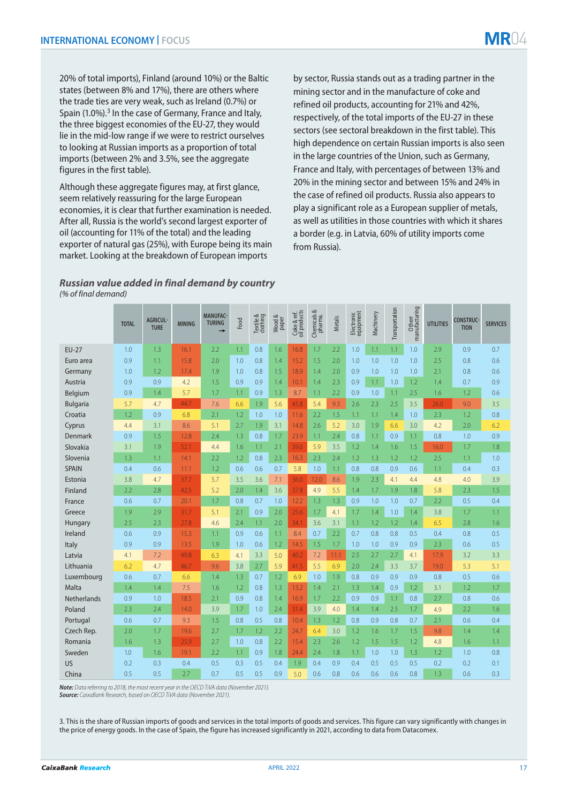20% of total imports), Finland (around 10%) or the Baltic states (between 8% and 17%), there are others where the trade ties are very weak, such as Ireland (0.7%) or Spain (1.0%).<sup>3</sup> In the case of Germany, France and Italy, the three biggest economies of the EU-27, they would lie in the mid-low range if we were to restrict ourselves to looking at Russian imports as a proportion of total imports (between 2% and 3.5%, see the aggregate figures in the first table).

Although these aggregate figures may, at first glance, seem relatively reassuring for the large European economies, it is clear that further examination is needed. After all, Russia is the world's second largest exporter of oil (accounting for 11% of the total) and the leading exporter of natural gas (25%), with Europe being its main market. Looking at the breakdown of European imports

by sector, Russia stands out as a trading partner in the mining sector and in the manufacture of coke and refined oil products, accounting for 21% and 42%, respectively, of the total imports of the EU-27 in these sectors (see sectoral breakdown in the first table). This high dependence on certain Russian imports is also seen in the large countries of the Union, such as Germany, France and Italy, with percentages of between 13% and 20% in the mining sector and between 15% and 24% in the case of refined oil products. Russia also appears to play a significant role as a European supplier of metals, as well as utilities in those countries with which it shares a border (e.g. in Latvia, 60% of utility imports come from Russia).

# *Russian value added in final demand by country (% of final demand)*

|                    | <b>TOTAL</b> | <b>AGRICUL-</b><br><b>TURE</b> | <b>MINING</b> | <b>MANUFAC-</b><br><b>TURING</b><br>→ | Food | Textile &<br>clothing | Wood &<br>paper | Coke & ref.<br>oil products | Chemicals &<br>pharma. | <b>Metals</b> | Electronic<br>equipment | Machinery | Transportation | Otherr<br>manufacturing | <b>UTILITIES</b> | <b>CONSTRUC-</b><br><b>TION</b> | <b>SERVICES</b> |
|--------------------|--------------|--------------------------------|---------------|---------------------------------------|------|-----------------------|-----------------|-----------------------------|------------------------|---------------|-------------------------|-----------|----------------|-------------------------|------------------|---------------------------------|-----------------|
| <b>EU-27</b>       | 1.0          | 1.3                            | 16.1          | 2.2                                   | 1.1  | 0.8                   | 1.6             | 16.8                        | 1.7                    | 2.2           | 1.0                     | 1.1       | 1.1            | 1.0                     | 2.9              | 0.9                             | 0.7             |
| Euro area          | 0.9          | 1.1                            | 15.8          | 2.0                                   | 1.0  | 0.8                   | 1.4             | 15.2                        | 1.5                    | 2.0           | 1.0                     | 1.0       | 1.0            | 1.0                     | 2.5              | 0.8                             | 0.6             |
| Germany            | 1.0          | 1.2                            | 17.4          | 1.9                                   | 1.0  | 0.8                   | 1.5             | 18.9                        | 1.4                    | 2.0           | 0.9                     | 1.0       | 1.0            | 1.0                     | 2.1              | 0.8                             | 0.6             |
| Austria            | 0.9          | 0.9                            | 4.2           | 1.5                                   | 0.9  | 0.9                   | 1.4             | 10.1                        | 1.4                    | 2.3           | 0.9                     | 1.1       | 1.0            | 1.2                     | 1.4              | 0.7                             | 0.9             |
| Belgium            | 0.9          | 1.4                            | 5.7           | 1.7                                   | 1.1  | 0.9                   | 1.3             | 8.7                         | 1.1                    | 2.2           | 0.9                     | 1.0       | 1.1            | 2.5                     | 1.6              | 1.2                             | 0.6             |
| Bulgaria           | 5.7          | 4.7                            | 44.7          | 7.6                                   | 6.6  | 1.9                   | 5.6             | 45.8                        | 5.4                    | 9.3           | 2.6                     | 2.3       | 2.5            | 3.5                     | 26.0             | 9.0                             | 3.5             |
| Croatia            | 1.2          | 0.9                            | 6.8           | 2.1                                   | 1.2  | 1.0                   | 1.0             | 11.6                        | 2.2                    | 1.5           | 1.1                     | 1.1       | 1.4            | 1.0                     | 2.3              | 1.2                             | 0.8             |
| Cyprus             | 4.4          | 3.1                            | 8.6           | 5.1                                   | 2.7  | 1.9                   | 3.1             | 14.8                        | 2.6                    | 5.2           | 3.0                     | 1.9       | 6.6            | 3.0                     | 4.2              | 2.0                             | 6.2             |
| Denmark            | 0.9          | 1.5                            | 12.8          | 2.4                                   | 1.3  | 0.8                   | 1.7             | 23.9                        | 1.1                    | 2.4           | 0.8                     | 1.1       | 0.9            | 1.1                     | 0.8              | 1.0                             | 0.9             |
| Slovakia           | 3.1          | 1.9                            | 52.1          | 4.4                                   | 1.6  | 1.1                   | 2.1             | 39.6                        | 5.9                    | 3.5           | 1.2                     | 1.4       | 1.6            | 1.5                     | 16.0             | 1.7                             | 1.8             |
| Slovenia           | 1.3          | 1.1                            | 14.1          | 2.2                                   | 1.2  | 0.8                   | 2.3             | 16.3                        | 2.3                    | 2.4           | 1.2                     | 1.3       | 1.2            | 1.2                     | 2.5              | 1.1                             | 1.0             |
| <b>SPAIN</b>       | 0.4          | 0.6                            | 11.1          | 1.2                                   | 0.6  | 0.6                   | 0.7             | 5.8                         | 1.0                    | 1.1           | 0.8                     | 0.8       | 0.9            | 0.6                     | 1.1              | 0.4                             | 0.3             |
| Estonia            | 3.8          | 4.7                            | 37.7          | 5.7                                   | 3.5  | 3.6                   | 7.1             | 36.0                        | 12.0                   | 8.6           | 1.9                     | 2.3       | 4.1            | 4.4                     | 4.8              | 4.0                             | 3.9             |
| Finland            | 2.2          | 2.8                            | 42.5          | 5.2                                   | 2.0  | 1.4                   | 3.6             | 37.8                        | 4.9                    | 5.5           | 1.4                     | 1.7       | 1.9            | 1.8                     | 5.8              | 2.3                             | 1.5             |
| France             | 0.6          | 0.7                            | 20.1          | 1.7                                   | 0.8  | 0.7                   | 1.0             | 12.2                        | 1.3                    | 1.3           | 0.9                     | 1.0       | 1.0            | 0.7                     | 2.2              | 0.5                             | 0.4             |
| Greece             | 1.9          | 2.9                            | 31.7          | 5.1                                   | 2.1  | 0.9                   | 2.0             | 25.6                        | 1.7                    | 4.1           | 1.7                     | 1.4       | 1.0            | 1.4                     | 3.8              | 1.7                             | 1.1             |
| Hungary            | 2.5          | 2.3                            | 27.8          | 4.6                                   | 2.4  | 1.1                   | 2.0             | 34.1                        | 3.6                    | 3.1           | 1.1                     | 1.2       | 1.2            | 1.4                     | 6.5              | 2.8                             | 1.6             |
| Ireland            | 0.6          | 0.9                            | 15.3          | 1.1                                   | 0.9  | 0.6                   | 1.1             | 8.4                         | 0.7                    | 2.2           | 0.7                     | 0.8       | 0.8            | 0.5                     | 0.4              | 0.8                             | 0.5             |
| Italy              | 0.9          | 0.9                            | 13.5          | 1.9                                   | 1.0  | 0.6                   | 1.2             | 14.5                        | 1.5                    | 1.7           | 1.0                     | 1.0       | 0.9            | 0.9                     | 2.3              | 0.6                             | 0.5             |
| Latvia             | 4.1          | 7.2                            | 49.8          | 6.3                                   | 4.1  | 3.3                   | 5.0             | 40.2                        | 7.2                    | 11.1          | 2.5                     | 2.7       | 2.7            | 4.1                     | 17.9             | 3.2                             | 3.3             |
| Lithuania          | 6.2          | 4.7                            | 46.7          | 9.6                                   | 3.8  | 2.7                   | 5.9             | 41.5                        | 5.5                    | 6.9           | 2.0                     | 2.4       | 3.3            | 3.7                     | 19.0             | 5.3                             | 5.1             |
| Luxembourg         | 0.6          | 0.7                            | 6.6           | 1.4                                   | 1.3  | 0.7                   | 1.2             | 6.9                         | 1.0                    | 1.9           | 0.8                     | 0.9       | 0.9            | 0.9                     | 0.8              | 0.5                             | 0.6             |
| Malta              | 1.4          | 1.4                            | 7.5           | 1.6                                   | 1.2  | 0.8                   | 1.3             | 13.2                        | 1.4                    | 2.1           | 1.3                     | 1.4       | 0.9            | 1.2                     | 3.1              | 1.2                             | 1.7             |
| <b>Netherlands</b> | 0.9          | 1.0                            | 18.5          | 2.1                                   | 0.9  | 0.8                   | 1.4             | 16.9                        | 1.7                    | 2.2           | 0.9                     | 0.9       | 1.1            | 0.8                     | 2.7              | 0.8                             | 0.6             |
| Poland             | 2.3          | 2.4                            | 14.0          | 3.9                                   | 1.7  | 1.0                   | 2.4             | 31.4                        | 3.9                    | 4.0           | 1.4                     | 1.4       | 2.5            | 1.7                     | 4.9              | 2.2                             | 1.6             |
| Portugal           | 0.6          | 0.7                            | 9.3           | 1.5                                   | 0.8  | 0.5                   | 0.8             | 10.4                        | 1.3                    | 1.2           | 0.8                     | 0.9       | 0.8            | 0.7                     | 2.1              | 0.6                             | 0.4             |
| Czech Rep.         | 2.0          | 1.7                            | 19.6          | 2.7                                   | 1.7  | 1.2                   | 2.2             | 24.7                        | 6.4                    | 3.0           | 1.2                     | 1.6       | 1.7            | 1.5                     | 9.8              | 1.4                             | 1.4             |
| Romania            | 1.6          | 1.3                            | 25.9          | 2.7                                   | 1.0  | 0.8                   | 2.2             | 15.4                        | 2.3                    | 2.6           | 1.2                     | 1.5       | 1.5            | 1.2                     | 4.8              | 1.6                             | 1.1             |
| Sweden             | 1.0          | 1.6                            | 19.1          | 2.2                                   | 1.1  | 0.9                   | 1.8             | 24.4                        | 2.4                    | 1.8           | 1.1                     | 1.0       | 1.0            | 1.3                     | 1.2              | 1.0                             | 0.8             |
| <b>US</b>          | 0.2          | 0.3                            | 0.4           | 0.5                                   | 0.3  | 0.5                   | 0.4             | 1.9                         | 0.4                    | 0.9           | 0.4                     | 0.5       | 0.5            | 0.5                     | 0.2              | 0.2                             | 0.1             |
| China              | 0.5          | 0.5                            | 2.7           | 0.7                                   | 0.5  | 0.5                   | 0.9             | 5.0                         | 0.6                    | 0.8           | 0.6                     | 0.6       | 0.6            | 0.8                     | 1.3              | 0.6                             | 0.3             |

*Note: Data referring to 2018, the most recent year in the OECD TiVA data (November 2021).*

*Source: CaixaBank Research, based on OECD TiVA data (November 2021).*

3. This is the share of Russian imports of goods and services in the total imports of goods and services. This figure can vary significantly with changes in the price of energy goods. In the case of Spain, the figure has increased significantly in 2021, according to data from Datacomex.